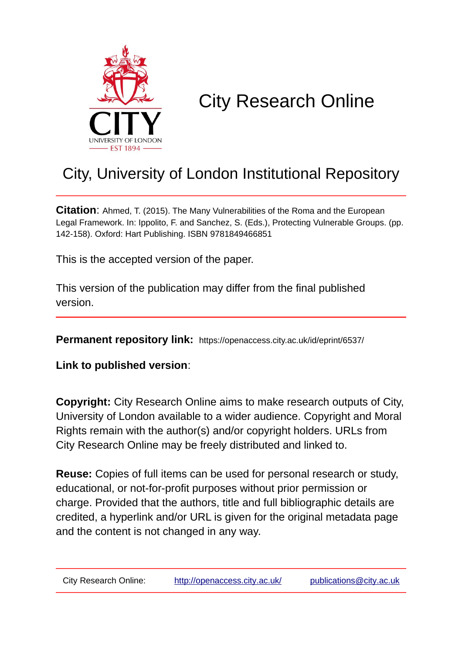

# City Research Online

## City, University of London Institutional Repository

**Citation**: Ahmed, T. (2015). The Many Vulnerabilities of the Roma and the European Legal Framework. In: Ippolito, F. and Sanchez, S. (Eds.), Protecting Vulnerable Groups. (pp. 142-158). Oxford: Hart Publishing. ISBN 9781849466851

This is the accepted version of the paper.

This version of the publication may differ from the final published version.

**Permanent repository link:** https://openaccess.city.ac.uk/id/eprint/6537/

**Link to published version**:

**Copyright:** City Research Online aims to make research outputs of City, University of London available to a wider audience. Copyright and Moral Rights remain with the author(s) and/or copyright holders. URLs from City Research Online may be freely distributed and linked to.

**Reuse:** Copies of full items can be used for personal research or study, educational, or not-for-profit purposes without prior permission or charge. Provided that the authors, title and full bibliographic details are credited, a hyperlink and/or URL is given for the original metadata page and the content is not changed in any way.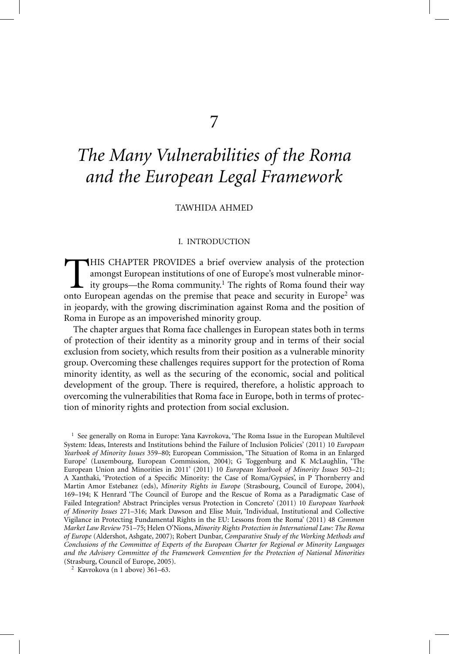### *The Many Vulnerabilities of the Roma and the European Legal Framework*

#### TAWHIDA AHMED

#### I. INTRODUCTION

THIS CHAPTER PROVIDES a brief overview analysis of the protection amongst European institutions of one of Europe's most vulnerable minority groups—the Roma community.<sup>1</sup> The rights of Roma found their way onto European age amongst European institutions of one of Europe's most vulnerable minority groups—the Roma community.<sup>1</sup> The rights of Roma found their way onto European agendas on the premise that peace and security in Europe<sup>2</sup> was in jeopardy, with the growing discrimination against Roma and the position of Roma in Europe as an impoverished minority group.

The chapter argues that Roma face challenges in European states both in terms of protection of their identity as a minority group and in terms of their social exclusion from society, which results from their position as a vulnerable minority group. Overcoming these challenges requires support for the protection of Roma minority identity, as well as the securing of the economic, social and political development of the group. There is required, therefore, a holistic approach to overcoming the vulnerabilities that Roma face in Europe, both in terms of protection of minority rights and protection from social exclusion.

 $<sup>1</sup>$  See generally on Roma in Europe: Yana Kavrokova, 'The Roma Issue in the European Multilevel</sup> System: Ideas, Interests and Institutions behind the Failure of Inclusion Policies' (2011) 10 *European Yearbook of Minority Issues* 359–80; European Commission, 'The Situation of Roma in an Enlarged Europe' (Luxembourg, European Commission, 2004); G Toggenburg and K McLaughlin, 'The European Union and Minorities in 2011' (2011) 10 *European Yearbook of Minority Issues* 503–21; A Xanthaki, 'Protection of a Specifi c Minority: the Case of Roma/Gypsies', in P Thornberry and Martin Amor Estebanez (eds), *Minority Rights in Europe* (Strasbourg, Council of Europe, 2004), 169–194; K Henrard 'The Council of Europe and the Rescue of Roma as a Paradigmatic Case of Failed Integration? Abstract Principles versus Protection in Concreto' (2011) 10 *European Yearbook of Minority Issues* 271–316; Mark Dawson and Elise Muir, 'Individual, Institutional and Collective Vigilance in Protecting Fundamental Rights in the EU: Lessons from the Roma' (2011) 48 *Common Market Law Review* 751–75; Helen O'Nions, *Minority Rights Protection in International Law: The Roma of Europe* (Aldershot, Ashgate, 2007); Robert Dunbar, *Comparative Study of the Working Methods and Conclusions of the Committee of Experts of the European Charter for Regional or Minority Languages and the Advisory Committee of the Framework Convention for the Protection of National Minorities* (Strasburg, Council of Europe, 2005).

 $2$  Kavrokova (n 1 above) 361–63.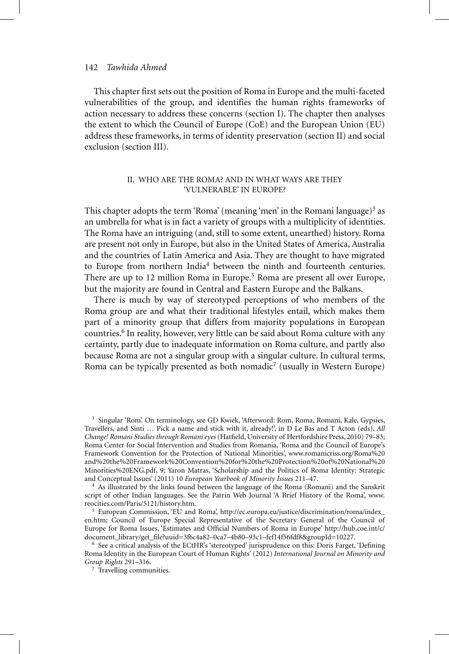This chapter first sets out the position of Roma in Europe and the multi-faceted vulnerabilities of the group, and identifies the human rights frameworks of action necessary to address these concerns (section I). The chapter then analyses the extent to which the Council of Europe (CoE) and the European Union (EU) address these frameworks, in terms of identity preservation (section II) and social exclusion (section III).

#### II. WHO ARE THE ROMA? AND IN WHAT WAYS ARE THEY 'VULNERABLE' IN EUROPE?

This chapter adopts the term 'Roma' (meaning 'men' in the Romani language)<sup>3</sup> as an umbrella for what is in fact a variety of groups with a multiplicity of identities. The Roma have an intriguing (and, still to some extent, unearthed) history. Roma are present not only in Europe, but also in the United States of America, Australia and the countries of Latin America and Asia. They are thought to have migrated to Europe from northern India<sup>4</sup> between the ninth and fourteenth centuries. There are up to 12 million Roma in Europe.<sup>5</sup> Roma are present all over Europe, but the majority are found in Central and Eastern Europe and the Balkans.

There is much by way of stereotyped perceptions of who members of the Roma group are and what their traditional lifestyles entail, which makes them part of a minority group that differs from majority populations in European countries.6 In reality, however, very little can be said about Roma culture with any certainty, partly due to inadequate information on Roma culture, and partly also because Roma are not a singular group with a singular culture. In cultural terms, Roma can be typically presented as both nomadic<sup>7</sup> (usually in Western Europe)

<sup>&</sup>lt;sup>3</sup> Singular 'Rom'. On terminology, see GD Kwiek, 'Afterword: Rom, Roma, Romani, Kale, Gypsies, Travellers, and Sinti … Pick a name and stick with it, already!', in D Le Bas and T Acton (eds), *All*  Change! Romani Studies through Romani eyes (Hatfield, University of Hertfordshire Press, 2010) 79-83; Roma Center for Social Intervention and Studies from Romania, 'Roma and the Council of Europe's Framework Convention for the Protection of National Minorities', www.romanicriss.org/Roma%20 and%20the%20Framework%20Convention%20for%20the%20Protection%20of%20National%20 Minorities%20ENG.pdf, 9; Yaron Matras, 'Scholarship and the Politics of Roma Identity: Strategic and Conceptual Issues' (2011) 10 *European Yearbook of Minority Issues* 211–47.

<sup>4</sup> As illustrated by the links found between the language of the Roma (Romani) and the Sanskrit script of other Indian languages. See the Patrin Web Journal 'A Brief History of the Roma', www. reocities.com/Paris/5121/history.htm.

<sup>5</sup> European Commission, 'EU and Roma', http://ec.europa.eu/justice/discrimination/roma/index\_ en.htm; Council of Europe Special Representative of the Secretary General of the Council of Europe for Roma Issues, 'Estimates and Official Numbers of Roma in Europe' http://hub.coe.int/c/<br>document\_library/get\_file?uuid=3f6c4a82--0ca7--4b80--93c1--fef14f56fdf8&groupId=10227.

 $^6$  See a critical analysis of the ECtHR's 'stereotyped' jurisprudence on this: Doris Farget, 'Defining Roma Identity in the European Court of Human Rights' (2012) *International Journal on Minority and Group Rights* 291–316.

<sup>7</sup> Travelling communities.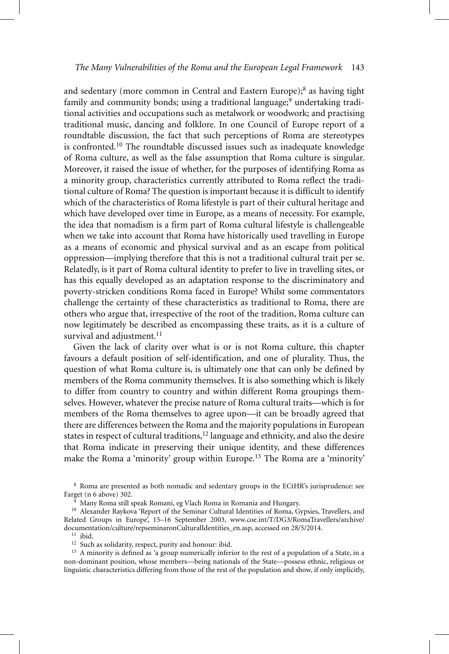and sedentary (more common in Central and Eastern Europe);<sup>8</sup> as having tight family and community bonds; using a traditional language;<sup>9</sup> undertaking traditional activities and occupations such as metalwork or woodwork; and practising traditional music, dancing and folklore. In one Council of Europe report of a roundtable discussion, the fact that such perceptions of Roma are stereotypes is confronted.10 The roundtable discussed issues such as inadequate knowledge of Roma culture, as well as the false assumption that Roma culture is singular. Moreover, it raised the issue of whether, for the purposes of identifying Roma as a minority group, characteristics currently attributed to Roma reflect the traditional culture of Roma? The question is important because it is difficult to identify which of the characteristics of Roma lifestyle is part of their cultural heritage and which have developed over time in Europe, as a means of necessity. For example, the idea that nomadism is a firm part of Roma cultural lifestyle is challengeable when we take into account that Roma have historically used travelling in Europe as a means of economic and physical survival and as an escape from political oppression—implying therefore that this is not a traditional cultural trait per se. Relatedly, is it part of Roma cultural identity to prefer to live in travelling sites, or has this equally developed as an adaptation response to the discriminatory and poverty-stricken conditions Roma faced in Europe? Whilst some commentators challenge the certainty of these characteristics as traditional to Roma, there are others who argue that, irrespective of the root of the tradition, Roma culture can now legitimately be described as encompassing these traits, as it is a culture of survival and adjustment.<sup>11</sup>

Given the lack of clarity over what is or is not Roma culture, this chapter favours a default position of self-identification, and one of plurality. Thus, the question of what Roma culture is, is ultimately one that can only be defined by members of the Roma community themselves. It is also something which is likely to differ from country to country and within different Roma groupings themselves. However, whatever the precise nature of Roma cultural traits—which is for members of the Roma themselves to agree upon—it can be broadly agreed that there are differences between the Roma and the majority populations in European states in respect of cultural traditions,<sup>12</sup> language and ethnicity, and also the desire that Roma indicate in preserving their unique identity, and these differences make the Roma a 'minority' group within Europe.<sup>13</sup> The Roma are a 'minority'

8 Roma are presented as both nomadic and sedentary groups in the ECtHR's jurisprudence: see

 $\frac{9}{9}$  Many Roma still speak Romani, eg Vlach Roma in Romania and Hungary.

<sup>10</sup> Alexander Raykova 'Report of the Seminar Cultural Identities of Roma, Gypsies, Travellers, and Related Groups in Europe', 15–16 September 2003, www.coe.int/T/DG3/RomaTravellers/archive/ documentation/culture/repseminaronCulturalIdentities\_en.asp, accessed on 28/5/2014.

 $11$  ibid.

<sup>12</sup> Such as solidarity, respect, purity and honour: ibid.

<sup>13</sup> A minority is defined as 'a group numerically inferior to the rest of a population of a State, in a non-dominant position, whose members—being nationals of the State—possess ethnic, religious or linguistic characteristics differing from those of the rest of the population and show, if only implicitly,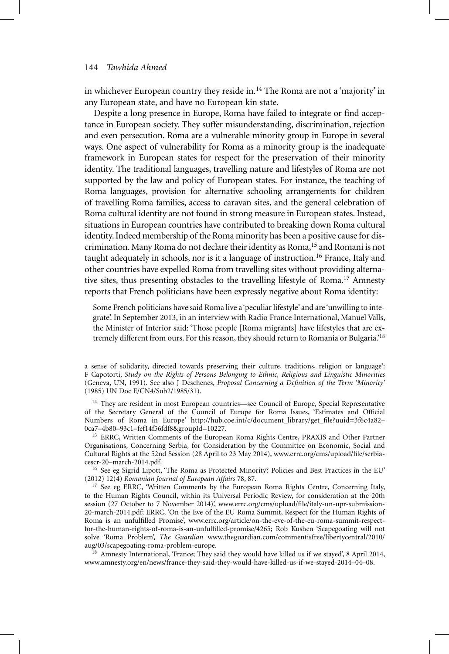in whichever European country they reside in.<sup>14</sup> The Roma are not a 'majority' in any European state, and have no European kin state.

Despite a long presence in Europe, Roma have failed to integrate or find acceptance in European society. They suffer misunderstanding, discrimination, rejection and even persecution. Roma are a vulnerable minority group in Europe in several ways. One aspect of vulnerability for Roma as a minority group is the inadequate framework in European states for respect for the preservation of their minority identity. The traditional languages, travelling nature and lifestyles of Roma are not supported by the law and policy of European states. For instance, the teaching of Roma languages, provision for alternative schooling arrangements for children of travelling Roma families, access to caravan sites, and the general celebration of Roma cultural identity are not found in strong measure in European states. Instead, situations in European countries have contributed to breaking down Roma cultural identity. Indeed membership of the Roma minority has been a positive cause for discrimination. Many Roma do not declare their identity as Roma,15 and Romani is not taught adequately in schools, nor is it a language of instruction.<sup>16</sup> France, Italy and other countries have expelled Roma from travelling sites without providing alternative sites, thus presenting obstacles to the travelling lifestyle of Roma.<sup>17</sup> Amnesty reports that French politicians have been expressly negative about Roma identity:

Some French politicians have said Roma live a 'peculiar lifestyle' and are 'unwilling to integrate'. In September 2013, in an interview with Radio France International, Manuel Valls, the Minister of Interior said: 'Those people [Roma migrants] have lifestyles that are extremely different from ours. For this reason, they should return to Romania or Bulgaria.'18

a sense of solidarity, directed towards preserving their culture, traditions, religion or language': F Capotorti, *Study on the Rights of Persons Belonging to Ethnic, Religious and Linguistic Minorities* (Geneva, UN, 1991). See also J Deschenes, *Proposal Concerning a Definition of the Term 'Minority'* (1985) UN Doc E/CN4/Sub2/1985/31).

<sup>14</sup> They are resident in most European countries—see Council of Europe, Special Representative of the Secretary General of the Council of Europe for Roma Issues, 'Estimates and Official Numbers of Roma in Europe' http://hub.coe.int/c/document\_library/get\_file?uuid=3f6c4a82-0ca7-4b80-93c1-fef14f56fdf8&groupId=10227.

<sup>15</sup> ERRC, Written Comments of the European Roma Rights Centre, PRAXIS and Other Partner Organisations, Concerning Serbia, for Consideration by the Committee on Economic, Social and Cultural Rights at the 52nd Session (28 April to 23 May 2014), www.errc.org/cms/upload/file/serbiacescr-20–march-2014.pdf.

<sup>16</sup> See eg Sigrid Lipott, 'The Roma as Protected Minority? Policies and Best Practices in the EU' (2012) 12(4) *Romanian Journal of European Affairs* 78, 87.

<sup>17</sup> See eg ERRC, 'Written Comments by the European Roma Rights Centre, Concerning Italy, to the Human Rights Council, within its Universal Periodic Review, for consideration at the 20th session (27 October to 7 November 2014)', www.errc.org/cms/upload/file/italy-un-upr-submission-20-march-2014.pdf; ERRC, 'On the Eve of the EU Roma Summit, Respect for the Human Rights of Roma is an unfulfilled Promise', www.errc.org/article/on-the-eve-of-the-eu-roma-summit-respectfor-the-human-rights-of-roma-is-an-unfulfilled-promise/4265; Rob Kushen 'Scapegoating will not solve 'Roma Problem', *The Guardian* www.theguardian.com/commentisfree/libertycentral/2010/ aug/03/scapegoating-roma-problem-europe.

 $18$  Amnesty International, 'France; They said they would have killed us if we stayed', 8 April 2014, www.amnesty.org/en/news/france-they-said-they-would-have-killed-us-if-we-stayed-2014–04–08.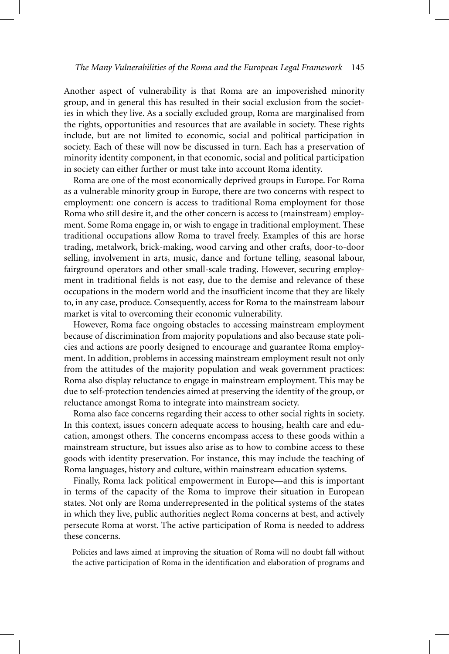Another aspect of vulnerability is that Roma are an impoverished minority group, and in general this has resulted in their social exclusion from the societies in which they live. As a socially excluded group, Roma are marginalised from the rights, opportunities and resources that are available in society. These rights include, but are not limited to economic, social and political participation in society. Each of these will now be discussed in turn. Each has a preservation of minority identity component, in that economic, social and political participation in society can either further or must take into account Roma identity.

Roma are one of the most economically deprived groups in Europe. For Roma as a vulnerable minority group in Europe, there are two concerns with respect to employment: one concern is access to traditional Roma employment for those Roma who still desire it, and the other concern is access to (mainstream) employment. Some Roma engage in, or wish to engage in traditional employment. These traditional occupations allow Roma to travel freely. Examples of this are horse trading, metalwork, brick-making, wood carving and other crafts, door-to-door selling, involvement in arts, music, dance and fortune telling, seasonal labour, fairground operators and other small-scale trading. However, securing employment in traditional fields is not easy, due to the demise and relevance of these occupations in the modern world and the insufficient income that they are likely to, in any case, produce. Consequently, access for Roma to the mainstream labour market is vital to overcoming their economic vulnerability.

However, Roma face ongoing obstacles to accessing mainstream employment because of discrimination from majority populations and also because state policies and actions are poorly designed to encourage and guarantee Roma employment. In addition, problems in accessing mainstream employment result not only from the attitudes of the majority population and weak government practices: Roma also display reluctance to engage in mainstream employment. This may be due to self-protection tendencies aimed at preserving the identity of the group, or reluctance amongst Roma to integrate into mainstream society.

Roma also face concerns regarding their access to other social rights in society. In this context, issues concern adequate access to housing, health care and education, amongst others. The concerns encompass access to these goods within a mainstream structure, but issues also arise as to how to combine access to these goods with identity preservation. For instance, this may include the teaching of Roma languages, history and culture, within mainstream education systems.

Finally, Roma lack political empowerment in Europe—and this is important in terms of the capacity of the Roma to improve their situation in European states. Not only are Roma underrepresented in the political systems of the states in which they live, public authorities neglect Roma concerns at best, and actively persecute Roma at worst. The active participation of Roma is needed to address these concerns.

Policies and laws aimed at improving the situation of Roma will no doubt fall without the active participation of Roma in the identification and elaboration of programs and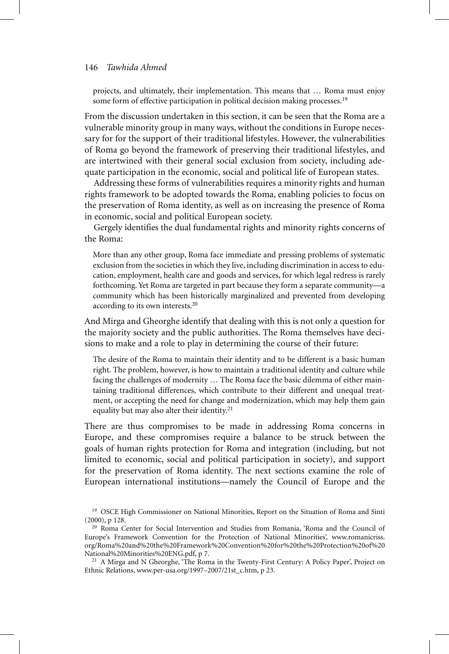projects, and ultimately, their implementation. This means that … Roma must enjoy some form of effective participation in political decision making processes.<sup>19</sup>

From the discussion undertaken in this section, it can be seen that the Roma are a vulnerable minority group in many ways, without the conditions in Europe necessary for for the support of their traditional lifestyles. However, the vulnerabilities of Roma go beyond the framework of preserving their traditional lifestyles, and are intertwined with their general social exclusion from society, including adequate participation in the economic, social and political life of European states.

Addressing these forms of vulnerabilities requires a minority rights and human rights framework to be adopted towards the Roma, enabling policies to focus on the preservation of Roma identity, as well as on increasing the presence of Roma in economic, social and political European society.

Gergely identifies the dual fundamental rights and minority rights concerns of the Roma:

More than any other group, Roma face immediate and pressing problems of systematic exclusion from the societies in which they live, including discrimination in access to education, employment, health care and goods and services, for which legal redress is rarely forthcoming. Yet Roma are targeted in part because they form a separate community—a community which has been historically marginalized and prevented from developing according to its own interests.<sup>20</sup>

And Mirga and Gheorghe identify that dealing with this is not only a question for the majority society and the public authorities. The Roma themselves have decisions to make and a role to play in determining the course of their future:

The desire of the Roma to maintain their identity and to be different is a basic human right. The problem, however, is how to maintain a traditional identity and culture while facing the challenges of modernity … The Roma face the basic dilemma of either maintaining traditional differences, which contribute to their different and unequal treatment, or accepting the need for change and modernization, which may help them gain equality but may also alter their identity.21

There are thus compromises to be made in addressing Roma concerns in Europe, and these compromises require a balance to be struck between the goals of human rights protection for Roma and integration (including, but not limited to economic, social and political participation in society), and support for the preservation of Roma identity. The next sections examine the role of European international institutions—namely the Council of Europe and the

<sup>&</sup>lt;sup>19</sup> OSCE High Commissioner on National Minorities, Report on the Situation of Roma and Sinti (2000), p 128.

<sup>20</sup> Roma Center for Social Intervention and Studies from Romania, 'Roma and the Council of Europe's Framework Convention for the Protection of National Minorities', www.romanicriss. org/Roma%20and%20the%20Framework%20Convention%20for%20the%20Protection%20of%20 National%20Minorities%20ENG.pdf, p 7.<br><sup>21</sup> A Mirga and N Gheorghe, 'The Roma in the Twenty-First Century: A Policy Paper', Project on

Ethnic Relations, www.per-usa.org/1997–2007/21st\_c.htm, p 23.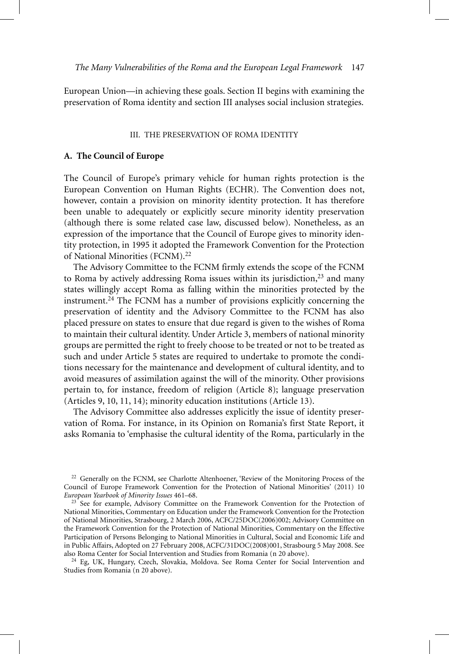European Union—in achieving these goals. Section II begins with examining the preservation of Roma identity and section III analyses social inclusion strategies.

#### III. THE PRESERVATION OF ROMA IDENTITY

#### **A. The Council of Europe**

The Council of Europe's primary vehicle for human rights protection is the European Convention on Human Rights (ECHR). The Convention does not, however, contain a provision on minority identity protection. It has therefore been unable to adequately or explicitly secure minority identity preservation (although there is some related case law, discussed below). Nonetheless, as an expression of the importance that the Council of Europe gives to minority identity protection, in 1995 it adopted the Framework Convention for the Protection of National Minorities (FCNM).<sup>22</sup>

The Advisory Committee to the FCNM firmly extends the scope of the FCNM to Roma by actively addressing Roma issues within its jurisdiction, $23$  and many states willingly accept Roma as falling within the minorities protected by the instrument.24 The FCNM has a number of provisions explicitly concerning the preservation of identity and the Advisory Committee to the FCNM has also placed pressure on states to ensure that due regard is given to the wishes of Roma to maintain their cultural identity. Under Article 3, members of national minority groups are permitted the right to freely choose to be treated or not to be treated as such and under Article 5 states are required to undertake to promote the conditions necessary for the maintenance and development of cultural identity, and to avoid measures of assimilation against the will of the minority. Other provisions pertain to, for instance, freedom of religion (Article 8); language preservation (Articles 9, 10, 11, 14); minority education institutions (Article 13).

The Advisory Committee also addresses explicitly the issue of identity preservation of Roma. For instance, in its Opinion on Romania's first State Report, it asks Romania to 'emphasise the cultural identity of the Roma, particularly in the

24 Eg, UK, Hungary, Czech, Slovakia, Moldova. See Roma Center for Social Intervention and Studies from Romania (n 20 above).

<sup>&</sup>lt;sup>22</sup> Generally on the FCNM, see Charlotte Altenhoener, 'Review of the Monitoring Process of the Council of Europe Framework Convention for the Protection of National Minorities' (2011) 10<br>European Yearbook of Minority Issues 461–68.

<sup>&</sup>lt;sup>23</sup> See for example, Advisory Committee on the Framework Convention for the Protection of National Minorities, Commentary on Education under the Framework Convention for the Protection of National Minorities, Strasbourg, 2 March 2006, ACFC/25DOC(2006)002; Advisory Committee on the Framework Convention for the Protection of National Minorities, Commentary on the Effective Participation of Persons Belonging to National Minorities in Cultural, Social and Economic Life and in Public Affairs, Adopted on 27 February 2008, ACFC/31DOC(2008)001, Strasbourg 5 May 2008. See also Roma Center for Social Intervention and Studies from Romania (n 20 above).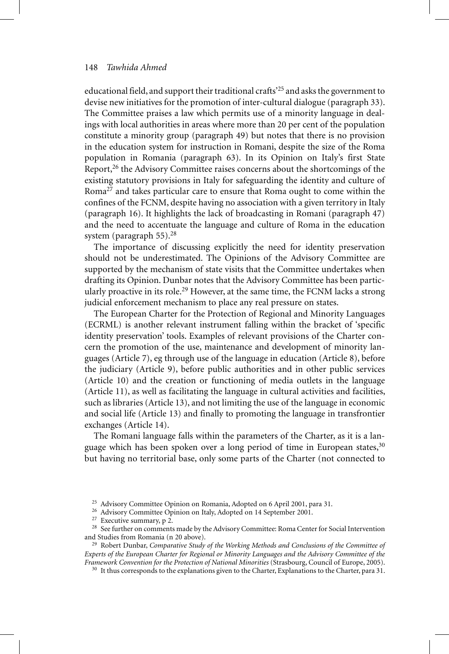educational field, and support their traditional crafts'25 and asks the government to devise new initiatives for the promotion of inter-cultural dialogue (paragraph 33). The Committee praises a law which permits use of a minority language in dealings with local authorities in areas where more than 20 per cent of the population constitute a minority group (paragraph 49) but notes that there is no provision in the education system for instruction in Romani, despite the size of the Roma population in Romania (paragraph 63). In its Opinion on Italy's first State Report,<sup>26</sup> the Advisory Committee raises concerns about the shortcomings of the existing statutory provisions in Italy for safeguarding the identity and culture of Roma27 and takes particular care to ensure that Roma ought to come within the confines of the FCNM, despite having no association with a given territory in Italy (paragraph 16). It highlights the lack of broadcasting in Romani (paragraph 47) and the need to accentuate the language and culture of Roma in the education system (paragraph 55).<sup>28</sup>

The importance of discussing explicitly the need for identity preservation should not be underestimated. The Opinions of the Advisory Committee are supported by the mechanism of state visits that the Committee undertakes when drafting its Opinion. Dunbar notes that the Advisory Committee has been particularly proactive in its role.<sup>29</sup> However, at the same time, the FCNM lacks a strong judicial enforcement mechanism to place any real pressure on states.

The European Charter for the Protection of Regional and Minority Languages (ECRML) is another relevant instrument falling within the bracket of 'specific identity preservation' tools. Examples of relevant provisions of the Charter concern the promotion of the use, maintenance and development of minority languages (Article 7), eg through use of the language in education (Article 8), before the judiciary (Article 9), before public authorities and in other public services (Article 10) and the creation or functioning of media outlets in the language (Article 11), as well as facilitating the language in cultural activities and facilities, such as libraries (Article 13), and not limiting the use of the language in economic and social life (Article 13) and finally to promoting the language in transfrontier exchanges (Article 14).

The Romani language falls within the parameters of the Charter, as it is a language which has been spoken over a long period of time in European states,  $30$ but having no territorial base, only some parts of the Charter (not connected to

<sup>25</sup> Advisory Committee Opinion on Romania, Adopted on 6 April 2001, para 31.

<sup>&</sup>lt;sup>26</sup> Advisory Committee Opinion on Italy, Adopted on 14 September 2001.

<sup>27</sup> Executive summary, p 2.

<sup>&</sup>lt;sup>28</sup> See further on comments made by the Advisory Committee: Roma Center for Social Intervention and Studies from Romania (n 20 above).

<sup>&</sup>lt;sup>29</sup> Robert Dunbar, *Comparative Study of the Working Methods and Conclusions of the Committee of Experts of the European Charter for Regional or Minority Languages and the Advisory Committee of the Framework Convention for the Protection of National Minorities* (Strasbourg, Council of Europe, 2005).

 $^{\rm 30}$  It thus corresponds to the explanations given to the Charter, Explanations to the Charter, para 31.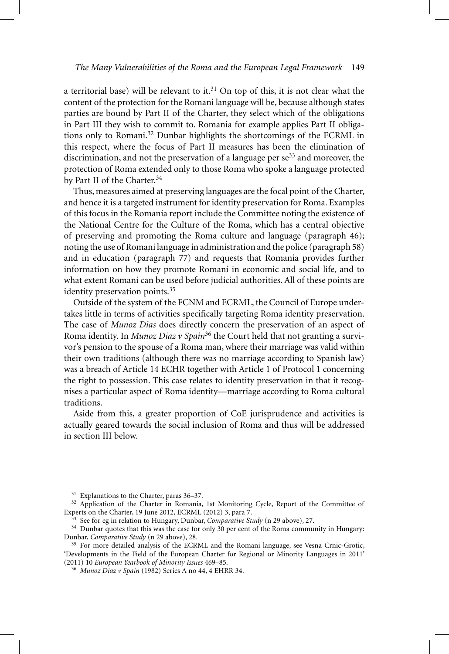a territorial base) will be relevant to it.<sup>31</sup> On top of this, it is not clear what the content of the protection for the Romani language will be, because although states parties are bound by Part II of the Charter, they select which of the obligations in Part III they wish to commit to. Romania for example applies Part II obligations only to Romani.32 Dunbar highlights the shortcomings of the ECRML in this respect, where the focus of Part II measures has been the elimination of discrimination, and not the preservation of a language per  $se^{33}$  and moreover, the protection of Roma extended only to those Roma who spoke a language protected by Part II of the Charter.<sup>34</sup>

Thus, measures aimed at preserving languages are the focal point of the Charter, and hence it is a targeted instrument for identity preservation for Roma. Examples of this focus in the Romania report include the Committee noting the existence of the National Centre for the Culture of the Roma, which has a central objective of preserving and promoting the Roma culture and language (paragraph 46); noting the use of Romani language in administration and the police (paragraph 58) and in education (paragraph 77) and requests that Romania provides further information on how they promote Romani in economic and social life, and to what extent Romani can be used before judicial authorities. All of these points are identity preservation points.<sup>35</sup>

Outside of the system of the FCNM and ECRML, the Council of Europe undertakes little in terms of activities specifically targeting Roma identity preservation. The case of *Munoz Dias* does directly concern the preservation of an aspect of Roma identity. In *Munoz Diaz v Spain*36 the Court held that not granting a survivor's pension to the spouse of a Roma man, where their marriage was valid within their own traditions (although there was no marriage according to Spanish law) was a breach of Article 14 ECHR together with Article 1 of Protocol 1 concerning the right to possession. This case relates to identity preservation in that it recognises a particular aspect of Roma identity—marriage according to Roma cultural traditions.

Aside from this, a greater proportion of CoE jurisprudence and activities is actually geared towards the social inclusion of Roma and thus will be addressed in section III below.

<sup>&</sup>lt;sup>31</sup> Explanations to the Charter, paras 36–37.

<sup>&</sup>lt;sup>32</sup> Application of the Charter in Romania, 1st Monitoring Cycle, Report of the Committee of Experts on the Charter, 19 June 2012, ECRML (2012) 3, para 7.

<sup>33</sup> See for eg in relation to Hungary, Dunbar, *Comparative Study* (n 29 above), 27.

<sup>&</sup>lt;sup>34</sup> Dunbar quotes that this was the case for only 30 per cent of the Roma community in Hungary: Dunbar, *Comparative Study* (n 29 above), 28.

<sup>35</sup> For more detailed analysis of the ECRML and the Romani language, see Vesna Crnic-Grotic, 'Developments in the Field of the European Charter for Regional or Minority Languages in 2011' (2011) 10 *European Yearbook of Minority Issues* 469–85.

<sup>36</sup> *Munoz Diaz v Spain* (1982) Series A no 44, 4 EHRR 34.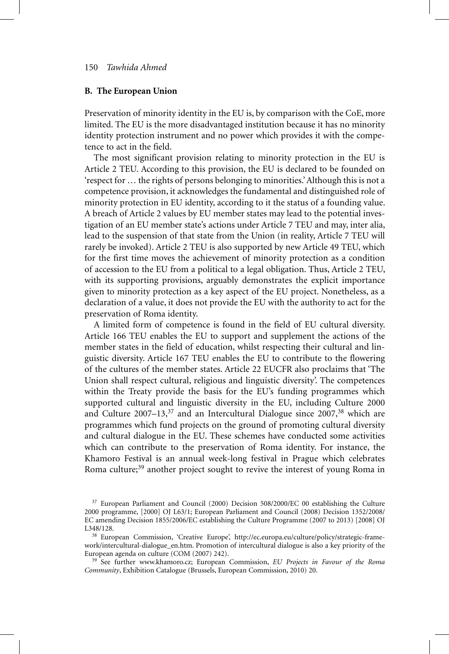#### **B. The European Union**

Preservation of minority identity in the EU is, by comparison with the CoE, more limited. The EU is the more disadvantaged institution because it has no minority identity protection instrument and no power which provides it with the competence to act in the field.

The most significant provision relating to minority protection in the EU is Article 2 TEU. According to this provision, the EU is declared to be founded on 'respect for … the rights of persons belonging to minorities.' Although this is not a competence provision, it acknowledges the fundamental and distinguished role of minority protection in EU identity, according to it the status of a founding value. A breach of Article 2 values by EU member states may lead to the potential investigation of an EU member state's actions under Article 7 TEU and may, inter alia, lead to the suspension of that state from the Union (in reality, Article 7 TEU will rarely be invoked). Article 2 TEU is also supported by new Article 49 TEU, which for the first time moves the achievement of minority protection as a condition of accession to the EU from a political to a legal obligation. Thus, Article 2 TEU, with its supporting provisions, arguably demonstrates the explicit importance given to minority protection as a key aspect of the EU project. Nonetheless, as a declaration of a value, it does not provide the EU with the authority to act for the preservation of Roma identity.

A limited form of competence is found in the field of EU cultural diversity. Article 166 TEU enables the EU to support and supplement the actions of the member states in the field of education, whilst respecting their cultural and linguistic diversity. Article 167 TEU enables the EU to contribute to the flowering of the cultures of the member states. Article 22 EUCFR also proclaims that 'The Union shall respect cultural, religious and linguistic diversity'. The competences within the Treaty provide the basis for the EU's funding programmes which supported cultural and linguistic diversity in the EU, including Culture 2000 and Culture  $2007-13$ ,<sup>37</sup> and an Intercultural Dialogue since  $2007$ ,<sup>38</sup> which are programmes which fund projects on the ground of promoting cultural diversity and cultural dialogue in the EU. These schemes have conducted some activities which can contribute to the preservation of Roma identity. For instance, the Khamoro Festival is an annual week-long festival in Prague which celebrates Roma culture;<sup>39</sup> another project sought to revive the interest of young Roma in

<sup>37</sup> European Parliament and Council (2000) Decision 508/2000/EC 00 establishing the Culture 2000 programme, [2000] OJ L63/1; European Parliament and Council (2008) Decision 1352/2008/ EC amending Decision 1855/2006/EC establishing the Culture Programme (2007 to 2013) [2008] OJ L348/128.

<sup>&</sup>lt;sup>38</sup> European Commission, 'Creative Europe', http://ec.europa.eu/culture/policy/strategic-framework/intercultural-dialogue\_en.htm. Promotion of intercultural dialogue is also a key priority of the European agenda on culture (COM (2007) 242).

<sup>39</sup> See further www.khamoro.cz; European Commission, *EU Projects in Favour of the Roma Community*, Exhibition Catalogue (Brussels, European Commission, 2010) 20.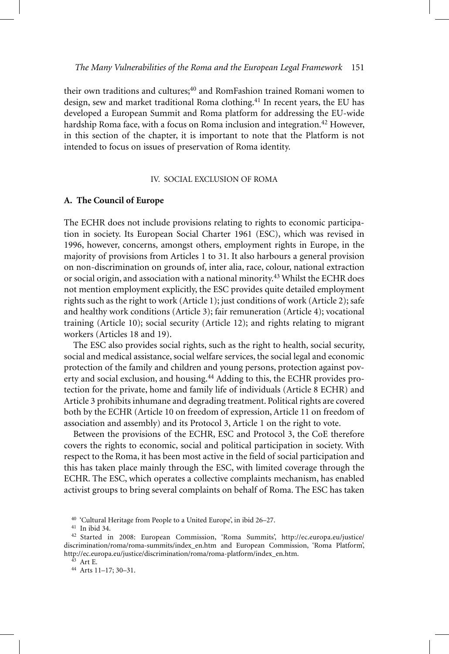their own traditions and cultures;<sup>40</sup> and RomFashion trained Romani women to design, sew and market traditional Roma clothing.<sup>41</sup> In recent years, the EU has developed a European Summit and Roma platform for addressing the EU-wide hardship Roma face, with a focus on Roma inclusion and integration.<sup>42</sup> However, in this section of the chapter, it is important to note that the Platform is not intended to focus on issues of preservation of Roma identity.

#### IV. SOCIAL EXCLUSION OF ROMA

#### **A. The Council of Europe**

The ECHR does not include provisions relating to rights to economic participation in society. Its European Social Charter 1961 (ESC), which was revised in 1996, however, concerns, amongst others, employment rights in Europe, in the majority of provisions from Articles 1 to 31. It also harbours a general provision on non-discrimination on grounds of, inter alia, race, colour, national extraction or social origin, and association with a national minority.43 Whilst the ECHR does not mention employment explicitly, the ESC provides quite detailed employment rights such as the right to work (Article 1); just conditions of work (Article 2); safe and healthy work conditions (Article 3); fair remuneration (Article 4); vocational training (Article 10); social security (Article 12); and rights relating to migrant workers (Articles 18 and 19).

The ESC also provides social rights, such as the right to health, social security, social and medical assistance, social welfare services, the social legal and economic protection of the family and children and young persons, protection against poverty and social exclusion, and housing.44 Adding to this, the ECHR provides protection for the private, home and family life of individuals (Article 8 ECHR) and Article 3 prohibits inhumane and degrading treatment. Political rights are covered both by the ECHR (Article 10 on freedom of expression, Article 11 on freedom of association and assembly) and its Protocol 3, Article 1 on the right to vote.

Between the provisions of the ECHR, ESC and Protocol 3, the CoE therefore covers the rights to economic, social and political participation in society. With respect to the Roma, it has been most active in the field of social participation and this has taken place mainly through the ESC, with limited coverage through the ECHR. The ESC, which operates a collective complaints mechanism, has enabled activist groups to bring several complaints on behalf of Roma. The ESC has taken

 $43$  Art E.

44 Arts 11–17; 30–31.

<sup>40 &#</sup>x27;Cultural Heritage from People to a United Europe', in ibid 26–27.

<sup>41</sup> In ibid 34.

<sup>42</sup> Started in 2008: European Commission, 'Roma Summits', http://ec.europa.eu/justice/ discrimination/roma/roma-summits/index\_en.htm and European Commission, 'Roma Platform', http://ec.europa.eu/justice/discrimination/roma/roma-platform/index\_en.htm.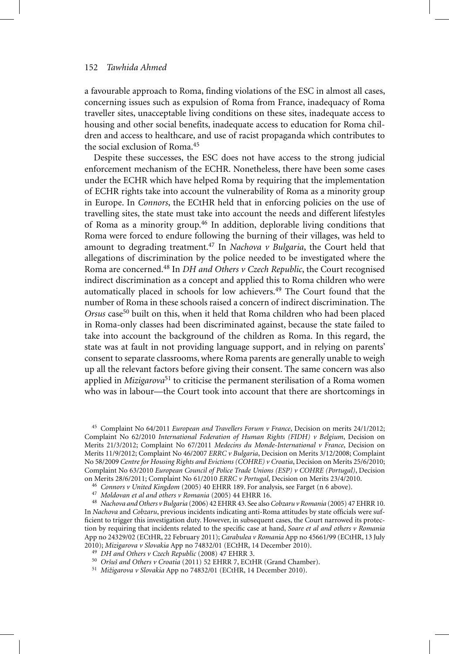a favourable approach to Roma, finding violations of the ESC in almost all cases, concerning issues such as expulsion of Roma from France, inadequacy of Roma traveller sites, unacceptable living conditions on these sites, inadequate access to housing and other social benefits, inadequate access to education for Roma children and access to healthcare, and use of racist propaganda which contributes to the social exclusion of Roma.<sup>45</sup>

Despite these successes, the ESC does not have access to the strong judicial enforcement mechanism of the ECHR. Nonetheless, there have been some cases under the ECHR which have helped Roma by requiring that the implementation of ECHR rights take into account the vulnerability of Roma as a minority group in Europe. In *Connors*, the ECtHR held that in enforcing policies on the use of travelling sites, the state must take into account the needs and different lifestyles of Roma as a minority group.46 In addition, deplorable living conditions that Roma were forced to endure following the burning of their villages, was held to amount to degrading treatment.47 In *Nachova v Bulgaria*, the Court held that allegations of discrimination by the police needed to be investigated where the Roma are concerned.48 In *DH and Others v Czech Republic*, the Court recognised indirect discrimination as a concept and applied this to Roma children who were automatically placed in schools for low achievers.49 The Court found that the number of Roma in these schools raised a concern of indirect discrimination. The Orsus case<sup>50</sup> built on this, when it held that Roma children who had been placed in Roma-only classes had been discriminated against, because the state failed to take into account the background of the children as Roma. In this regard, the state was at fault in not providing language support, and in relying on parents' consent to separate classrooms, where Roma parents are generally unable to weigh up all the relevant factors before giving their consent. The same concern was also applied in *Mizigarova*51 to criticise the permanent sterilisation of a Roma women who was in labour—the Court took into account that there are shortcomings in

<sup>45</sup> Complaint No 64/2011 *European and Travellers Forum v France*, Decision on merits 24/1/2012; Complaint No 62/2010 *International Federation of Human Rights (FIDH) v Belgium*, Decision on Merits 21/3/2012; Complaint No 67/2011 *Medecins du Monde-International v France*, Decision on Merits 11/9/2012; Complaint No 46/2007 *ERRC v Bulgaria*, Decision on Merits 3/12/2008; Complaint No 58/2009 *Centre for Housing Rights and Evictions (COHRE) v Croatia*, Decision on Merits 25/6/2010; Complaint No 63/2010 *European Council of Police Trade Unions (ESP) v COHRE (Portugal)*, Decision on Merits 28/6/2011; Complaint No 61/2010 *ERRC v Portugal*, Decision on Merits 23/4/2010.

<sup>46</sup> *Connors v United Kingdom* (2005) 40 EHRR 189. For analysis, see Farget (n 6 above).

<sup>47</sup> *Moldovan et al and others v Romania* (2005) 44 EHRR 16. 48 *Nachova and Others v Bulgaria* (2006) 42 EHRR 43. See also *Cobzaru v Romania* (2005) 47 EHRR 10. In *Nachova* and *Cobzaru*, previous incidents indicating anti-Roma attitudes by state officials were sufficient to trigger this investigation duty. However, in subsequent cases, the Court narrowed its protection by requiring that incidents related to the specific case at hand, *Soare et al and others v Romania* App no 24329/02 (ECtHR, 22 February 2011); *Carabulea v Romania* App no 45661/99 (ECtHR, 13 July 2010); *Mizigarova v Slovakia* App no 74832/01 (ECtHR, 14 December 2010).

<sup>49</sup> *DH and Others v Czech Republic* (2008) 47 EHRR 3. 50 *Oršuš and Others v Croatia* (2011) 52 EHRR 7, ECtHR (Grand Chamber).

<sup>51</sup> *Mižigarova v Slovakia* App no 74832/01 (ECtHR, 14 December 2010).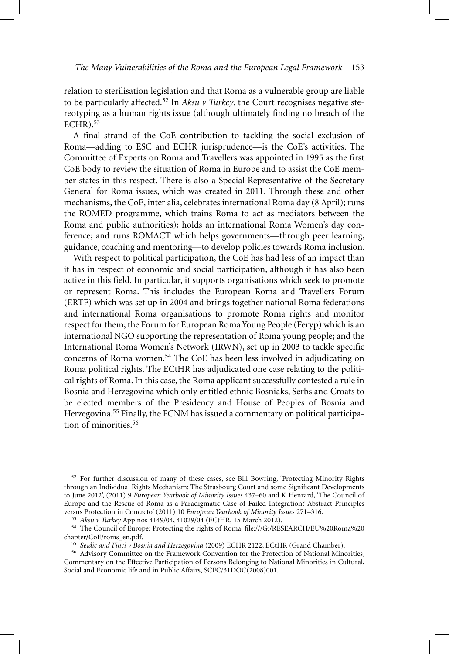relation to sterilisation legislation and that Roma as a vulnerable group are liable to be particularly affected.52 In *Aksu v Turkey*, the Court recognises negative stereotyping as a human rights issue (although ultimately finding no breach of the  $ECHR$ ).  $53$ 

A final strand of the CoE contribution to tackling the social exclusion of Roma—adding to ESC and ECHR jurisprudence—is the CoE's activities. The Committee of Experts on Roma and Travellers was appointed in 1995 as the first CoE body to review the situation of Roma in Europe and to assist the CoE member states in this respect. There is also a Special Representative of the Secretary General for Roma issues, which was created in 2011. Through these and other mechanisms, the CoE, inter alia, celebrates international Roma day (8 April); runs the ROMED programme, which trains Roma to act as mediators between the Roma and public authorities); holds an international Roma Women's day conference; and runs ROMACT which helps governments—through peer learning, guidance, coaching and mentoring—to develop policies towards Roma inclusion.

With respect to political participation, the CoE has had less of an impact than it has in respect of economic and social participation, although it has also been active in this field. In particular, it supports organisations which seek to promote or represent Roma. This includes the European Roma and Travellers Forum (ERTF) which was set up in 2004 and brings together national Roma federations and international Roma organisations to promote Roma rights and monitor respect for them; the Forum for European Roma Young People (Feryp) which is an international NGO supporting the representation of Roma young people; and the International Roma Women's Network (IRWN), set up in 2003 to tackle specific concerns of Roma women.54 The CoE has been less involved in adjudicating on Roma political rights. The ECtHR has adjudicated one case relating to the political rights of Roma. In this case, the Roma applicant successfully contested a rule in Bosnia and Herzegovina which only entitled ethnic Bosniaks, Serbs and Croats to be elected members of the Presidency and House of Peoples of Bosnia and Herzegovina.<sup>55</sup> Finally, the FCNM has issued a commentary on political participation of minorities.<sup>56</sup>

<sup>52</sup> For further discussion of many of these cases, see Bill Bowring, 'Protecting Minority Rights through an Individual Rights Mechanism: The Strasbourg Court and some Significant Developments to June 2012', (2011) 9 *European Yearbook of Minority Issues* 437–60 and K Henrard, 'The Council of Europe and the Rescue of Roma as a Paradigmatic Case of Failed Integration? Abstract Principles versus Protection in Concreto' (2011) 10 *European Yearbook of Minority Issues* 271–316.

<sup>53</sup> *Aksu v Turkey* App nos 4149/04, 41029/04 (ECtHR, 15 March 2012).

<sup>54</sup> The Council of Europe: Protecting the rights of Roma, file:///G:/RESEARCH/EU%20Roma%20 chapter/CoE/roms\_en.pdf.<br><sup>55</sup> Sejdic and Finci v Bosnia and Herzegovina (2009) ECHR 2122, ECtHR (Grand Chamber).

<sup>56</sup> Advisory Committee on the Framework Convention for the Protection of National Minorities, Commentary on the Effective Participation of Persons Belonging to National Minorities in Cultural, Social and Economic life and in Public Affairs, SCFC/31DOC(2008)001.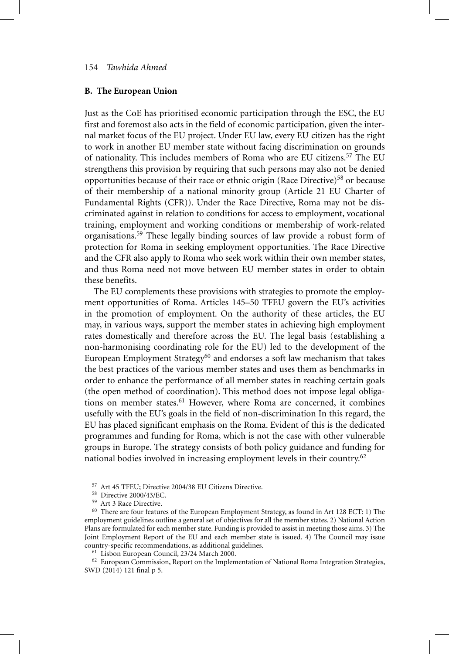#### **B. The European Union**

Just as the CoE has prioritised economic participation through the ESC, the EU first and foremost also acts in the field of economic participation, given the internal market focus of the EU project. Under EU law, every EU citizen has the right to work in another EU member state without facing discrimination on grounds of nationality. This includes members of Roma who are EU citizens.57 The EU strengthens this provision by requiring that such persons may also not be denied opportunities because of their race or ethnic origin (Race Directive)<sup>58</sup> or because of their membership of a national minority group (Article 21 EU Charter of Fundamental Rights (CFR)). Under the Race Directive, Roma may not be discriminated against in relation to conditions for access to employment, vocational training, employment and working conditions or membership of work-related organisations.59 These legally binding sources of law provide a robust form of protection for Roma in seeking employment opportunities. The Race Directive and the CFR also apply to Roma who seek work within their own member states, and thus Roma need not move between EU member states in order to obtain these benefits.

The EU complements these provisions with strategies to promote the employment opportunities of Roma. Articles 145–50 TFEU govern the EU's activities in the promotion of employment. On the authority of these articles, the EU may, in various ways, support the member states in achieving high employment rates domestically and therefore across the EU. The legal basis (establishing a non-harmonising coordinating role for the EU) led to the development of the European Employment Strategy<sup>60</sup> and endorses a soft law mechanism that takes the best practices of the various member states and uses them as benchmarks in order to enhance the performance of all member states in reaching certain goals (the open method of coordination). This method does not impose legal obligations on member states.<sup>61</sup> However, where Roma are concerned, it combines usefully with the EU's goals in the field of non-discrimination In this regard, the EU has placed significant emphasis on the Roma. Evident of this is the dedicated programmes and funding for Roma, which is not the case with other vulnerable groups in Europe. The strategy consists of both policy guidance and funding for national bodies involved in increasing employment levels in their country.<sup>62</sup>

61 Lisbon European Council, 23/24 March 2000.

 $62$  European Commission, Report on the Implementation of National Roma Integration Strategies, SWD (2014) 121 final p 5.

<sup>57</sup> Art 45 TFEU; Directive 2004/38 EU Citizens Directive.

<sup>58</sup> Directive 2000/43/EC.

<sup>59</sup> Art 3 Race Directive.

<sup>60</sup> There are four features of the European Employment Strategy, as found in Art 128 ECT: 1) The employment guidelines outline a general set of objectives for all the member states. 2) National Action Plans are formulated for each member state. Funding is provided to assist in meeting those aims. 3) The Joint Employment Report of the EU and each member state is issued. 4) The Council may issue country-specific recommendations, as additional guidelines.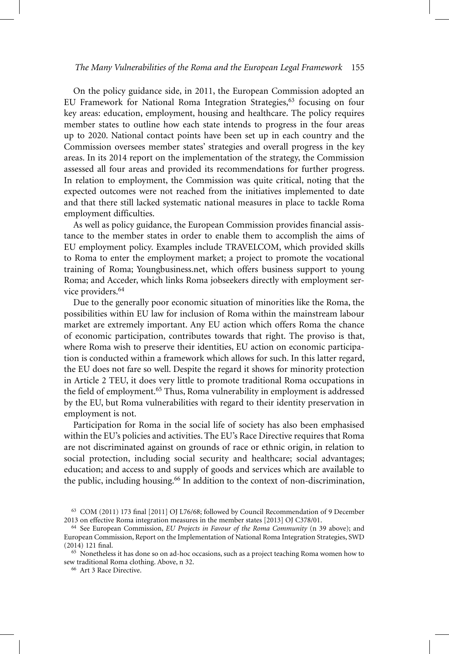#### *The Many Vulnerabilities of the Roma and the European Legal Framework* 155

On the policy guidance side, in 2011, the European Commission adopted an EU Framework for National Roma Integration Strategies,<sup>63</sup> focusing on four key areas: education, employment, housing and healthcare. The policy requires member states to outline how each state intends to progress in the four areas up to 2020. National contact points have been set up in each country and the Commission oversees member states' strategies and overall progress in the key areas. In its 2014 report on the implementation of the strategy, the Commission assessed all four areas and provided its recommendations for further progress. In relation to employment, the Commission was quite critical, noting that the expected outcomes were not reached from the initiatives implemented to date and that there still lacked systematic national measures in place to tackle Roma employment difficulties.

As well as policy guidance, the European Commission provides financial assistance to the member states in order to enable them to accomplish the aims of EU employment policy. Examples include TRAVELCOM, which provided skills to Roma to enter the employment market; a project to promote the vocational training of Roma; Youngbusiness.net, which offers business support to young Roma; and Acceder, which links Roma jobseekers directly with employment service providers.<sup>64</sup>

Due to the generally poor economic situation of minorities like the Roma, the possibilities within EU law for inclusion of Roma within the mainstream labour market are extremely important. Any EU action which offers Roma the chance of economic participation, contributes towards that right. The proviso is that, where Roma wish to preserve their identities, EU action on economic participation is conducted within a framework which allows for such. In this latter regard, the EU does not fare so well. Despite the regard it shows for minority protection in Article 2 TEU, it does very little to promote traditional Roma occupations in the field of employment.<sup>65</sup> Thus, Roma vulnerability in employment is addressed by the EU, but Roma vulnerabilities with regard to their identity preservation in employment is not.

Participation for Roma in the social life of society has also been emphasised within the EU's policies and activities. The EU's Race Directive requires that Roma are not discriminated against on grounds of race or ethnic origin, in relation to social protection, including social security and healthcare; social advantages; education; and access to and supply of goods and services which are available to the public, including housing.<sup>66</sup> In addition to the context of non-discrimination,

<sup>63</sup> COM (2011) 173 final [2011] OJ L76/68; followed by Council Recommendation of 9 December 2013 on effective Roma integration measures in the member states [2013] OJ C378/01. 64 See European Commission, *EU Projects in Favour of the Roma Community* (n 39 above); and

European Commission, Report on the Implementation of National Roma Integration Strategies, SWD  $(2014)$  121 final.

<sup>&</sup>lt;sup>65</sup> Nonetheless it has done so on ad-hoc occasions, such as a project teaching Roma women how to sew traditional Roma clothing. Above, n 32.

<sup>&</sup>lt;sup>66</sup> Art 3 Race Directive.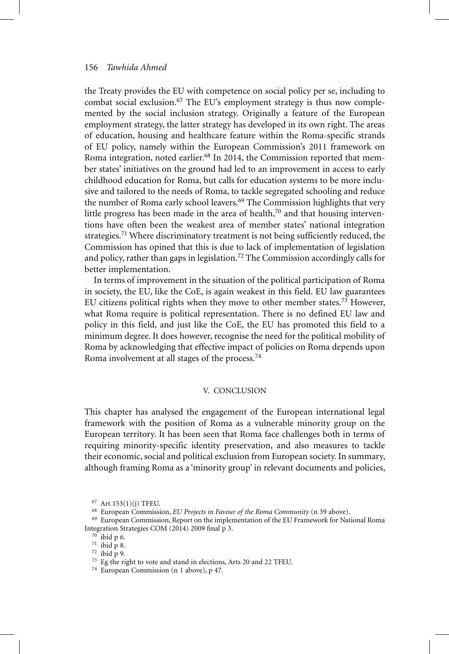the Treaty provides the EU with competence on social policy per se, including to combat social exclusion.<sup>67</sup> The EU's employment strategy is thus now complemented by the social inclusion strategy. Originally a feature of the European employment strategy, the latter strategy has developed in its own right. The areas of education, housing and healthcare feature within the Roma-specific strands of EU policy, namely within the European Commission's 2011 framework on Roma integration, noted earlier.<sup>68</sup> In 2014, the Commission reported that member states' initiatives on the ground had led to an improvement in access to early childhood education for Roma, but calls for education systems to be more inclusive and tailored to the needs of Roma, to tackle segregated schooling and reduce the number of Roma early school leavers.<sup>69</sup> The Commission highlights that very little progress has been made in the area of health, $70$  and that housing interventions have often been the weakest area of member states' national integration strategies.<sup>71</sup> Where discriminatory treatment is not being sufficiently reduced, the Commission has opined that this is due to lack of implementation of legislation and policy, rather than gaps in legislation.<sup>72</sup> The Commission accordingly calls for better implementation.

In terms of improvement in the situation of the political participation of Roma in society, the EU, like the CoE, is again weakest in this field. EU law guarantees EU citizens political rights when they move to other member states.<sup>73</sup> However, what Roma require is political representation. There is no defined EU law and policy in this field, and just like the CoE, the EU has promoted this field to a minimum degree. It does however, recognise the need for the political mobility of Roma by acknowledging that effective impact of policies on Roma depends upon Roma involvement at all stages of the process.<sup>74</sup>

#### V. CONCLUSION

This chapter has analysed the engagement of the European international legal framework with the position of Roma as a vulnerable minority group on the European territory. It has been seen that Roma face challenges both in terms of requiring minority-specific identity preservation, and also measures to tackle their economic, social and political exclusion from European society. In summary, although framing Roma as a 'minority group' in relevant documents and policies,

<sup>67</sup> Art 153(1)(j) TFEU.

<sup>68</sup> European Commission, *EU Projects in Favour of the Roma Community* (n 39 above).

<sup>69</sup> European Commission, Report on the implementation of the EU Framework for National Roma Integration Strategies COM (2014) 2009 final p 3.

 $70$  ibid p 6.

 $71$  ibid p 8.

 $72$  ibid p 9.

<sup>73</sup> Eg the right to vote and stand in elections, Arts 20 and 22 TFEU.

<sup>74</sup> European Commission (n 1 above), p 47.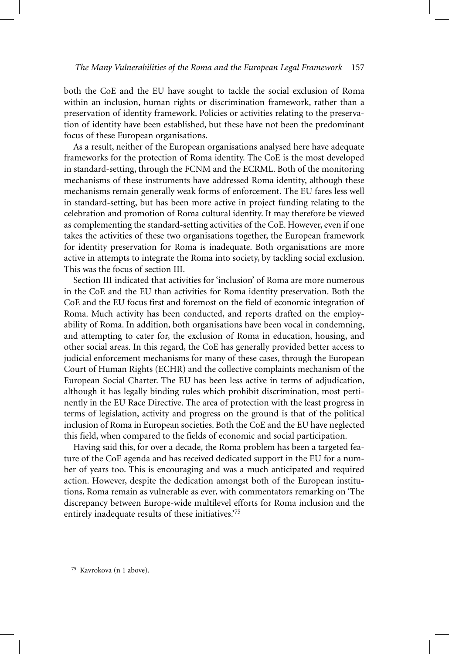both the CoE and the EU have sought to tackle the social exclusion of Roma within an inclusion, human rights or discrimination framework, rather than a preservation of identity framework. Policies or activities relating to the preservation of identity have been established, but these have not been the predominant focus of these European organisations.

As a result, neither of the European organisations analysed here have adequate frameworks for the protection of Roma identity. The CoE is the most developed in standard-setting, through the FCNM and the ECRML. Both of the monitoring mechanisms of these instruments have addressed Roma identity, although these mechanisms remain generally weak forms of enforcement. The EU fares less well in standard-setting, but has been more active in project funding relating to the celebration and promotion of Roma cultural identity. It may therefore be viewed as complementing the standard-setting activities of the CoE. However, even if one takes the activities of these two organisations together, the European framework for identity preservation for Roma is inadequate. Both organisations are more active in attempts to integrate the Roma into society, by tackling social exclusion. This was the focus of section III.

Section III indicated that activities for 'inclusion' of Roma are more numerous in the CoE and the EU than activities for Roma identity preservation. Both the CoE and the EU focus first and foremost on the field of economic integration of Roma. Much activity has been conducted, and reports drafted on the employability of Roma. In addition, both organisations have been vocal in condemning, and attempting to cater for, the exclusion of Roma in education, housing, and other social areas. In this regard, the CoE has generally provided better access to judicial enforcement mechanisms for many of these cases, through the European Court of Human Rights (ECHR) and the collective complaints mechanism of the European Social Charter. The EU has been less active in terms of adjudication, although it has legally binding rules which prohibit discrimination, most pertinently in the EU Race Directive. The area of protection with the least progress in terms of legislation, activity and progress on the ground is that of the political inclusion of Roma in European societies. Both the CoE and the EU have neglected this field, when compared to the fields of economic and social participation.

Having said this, for over a decade, the Roma problem has been a targeted feature of the CoE agenda and has received dedicated support in the EU for a number of years too. This is encouraging and was a much anticipated and required action. However, despite the dedication amongst both of the European institutions, Roma remain as vulnerable as ever, with commentators remarking on 'The discrepancy between Europe-wide multilevel efforts for Roma inclusion and the entirely inadequate results of these initiatives.'<sup>75</sup>

75 Kavrokova (n 1 above).